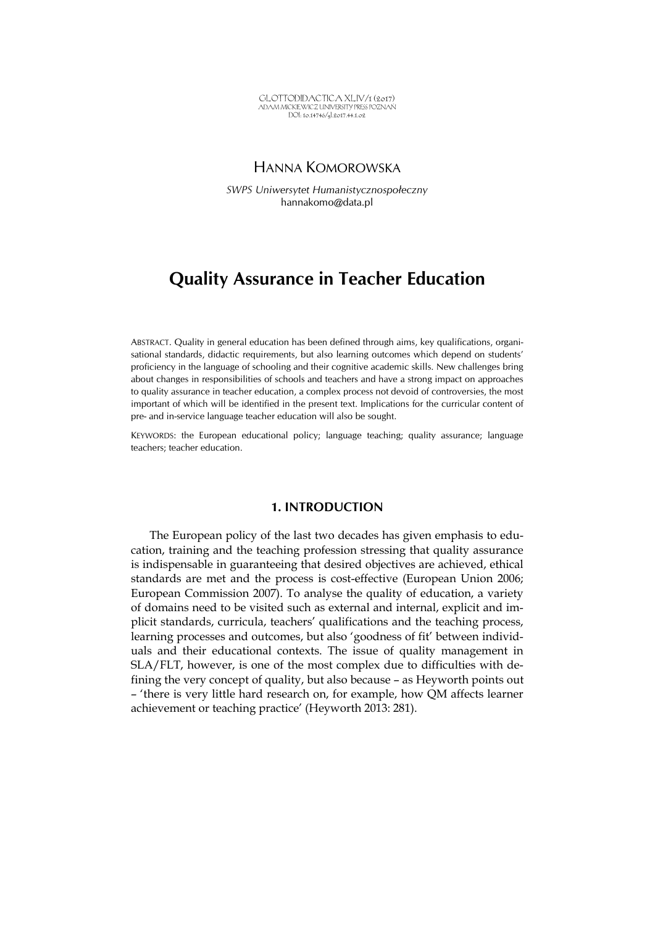GLOTTODIDACTICA XLIV/1 (2017) ADAM MICKIEWICZ UNIVERSITY PRESS POZNAŃ DOI: 10.14746/gl.2017.44.1.02

## HANNA KOMOROWSKA

*SWPS Uniwersytet Humanistycznospołeczny*  hannakomo@data.pl

# **Quality Assurance in Teacher Education**

ABSTRACT. Quality in general education has been defined through aims, key qualifications, organisational standards, didactic requirements, but also learning outcomes which depend on students' proficiency in the language of schooling and their cognitive academic skills. New challenges bring about changes in responsibilities of schools and teachers and have a strong impact on approaches to quality assurance in teacher education, a complex process not devoid of controversies, the most important of which will be identified in the present text. Implications for the curricular content of pre- and in-service language teacher education will also be sought.

KEYWORDS: the European educational policy; language teaching; quality assurance; language teachers; teacher education.

#### **1. INTRODUCTION**

The European policy of the last two decades has given emphasis to education, training and the teaching profession stressing that quality assurance is indispensable in guaranteeing that desired objectives are achieved, ethical standards are met and the process is cost-effective (European Union 2006; European Commission 2007). To analyse the quality of education, a variety of domains need to be visited such as external and internal, explicit and implicit standards, curricula, teachers' qualifications and the teaching process, learning processes and outcomes, but also 'goodness of fit' between individuals and their educational contexts. The issue of quality management in SLA/FLT, however, is one of the most complex due to difficulties with defining the very concept of quality, but also because – as Heyworth points out – 'there is very little hard research on, for example, how QM affects learner achievement or teaching practice' (Heyworth 2013: 281).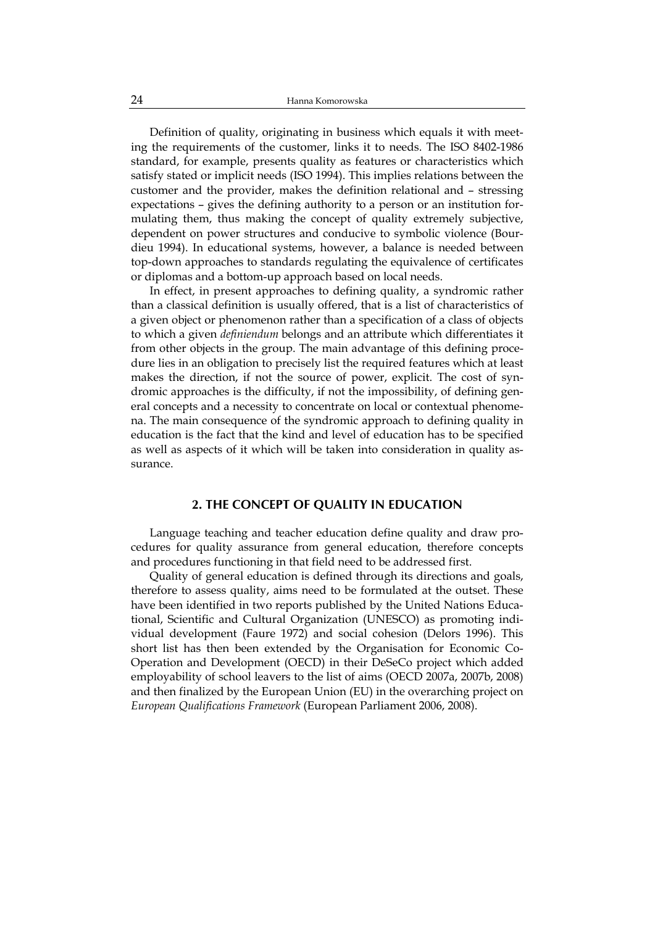Definition of quality, originating in business which equals it with meeting the requirements of the customer, links it to needs. The ISO 8402-1986 standard, for example, presents quality as features or characteristics which satisfy stated or implicit needs (ISO 1994). This implies relations between the customer and the provider, makes the definition relational and – stressing expectations – gives the defining authority to a person or an institution formulating them, thus making the concept of quality extremely subjective, dependent on power structures and conducive to symbolic violence (Bourdieu 1994). In educational systems, however, a balance is needed between top-down approaches to standards regulating the equivalence of certificates or diplomas and a bottom-up approach based on local needs.

In effect, in present approaches to defining quality, a syndromic rather than a classical definition is usually offered, that is a list of characteristics of a given object or phenomenon rather than a specification of a class of objects to which a given *definiendum* belongs and an attribute which differentiates it from other objects in the group. The main advantage of this defining procedure lies in an obligation to precisely list the required features which at least makes the direction, if not the source of power, explicit. The cost of syndromic approaches is the difficulty, if not the impossibility, of defining general concepts and a necessity to concentrate on local or contextual phenomena. The main consequence of the syndromic approach to defining quality in education is the fact that the kind and level of education has to be specified as well as aspects of it which will be taken into consideration in quality assurance.

#### **2. THE CONCEPT OF QUALITY IN EDUCATION**

Language teaching and teacher education define quality and draw procedures for quality assurance from general education, therefore concepts and procedures functioning in that field need to be addressed first.

Quality of general education is defined through its directions and goals, therefore to assess quality, aims need to be formulated at the outset. These have been identified in two reports published by the United Nations Educational, Scientific and Cultural Organization (UNESCO) as promoting individual development (Faure 1972) and social cohesion (Delors 1996). This short list has then been extended by the Organisation for Economic Co-Operation and Development (OECD) in their DeSeCo project which added employability of school leavers to the list of aims (OECD 2007a, 2007b, 2008) and then finalized by the European Union (EU) in the overarching project on *European Qualifications Framework* (European Parliament 2006, 2008).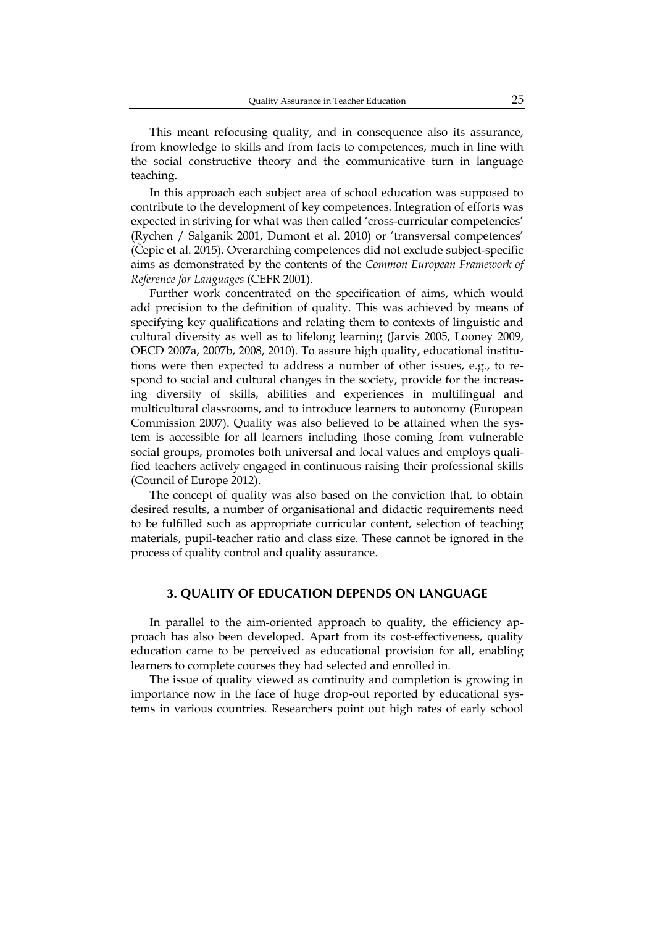This meant refocusing quality, and in consequence also its assurance, from knowledge to skills and from facts to competences, much in line with the social constructive theory and the communicative turn in language teaching.

In this approach each subject area of school education was supposed to contribute to the development of key competences. Integration of efforts was expected in striving for what was then called 'cross-curricular competencies' (Rychen / Salganik 2001, Dumont et al. 2010) or 'transversal competences' (Čepic et al. 2015). Overarching competences did not exclude subject-specific aims as demonstrated by the contents of the *Common European Framework of Reference for Languages* (CEFR 2001).

Further work concentrated on the specification of aims, which would add precision to the definition of quality. This was achieved by means of specifying key qualifications and relating them to contexts of linguistic and cultural diversity as well as to lifelong learning (Jarvis 2005, Looney 2009, OECD 2007a, 2007b, 2008, 2010). To assure high quality, educational institutions were then expected to address a number of other issues, e.g., to respond to social and cultural changes in the society, provide for the increasing diversity of skills, abilities and experiences in multilingual and multicultural classrooms, and to introduce learners to autonomy (European Commission 2007). Quality was also believed to be attained when the system is accessible for all learners including those coming from vulnerable social groups, promotes both universal and local values and employs qualified teachers actively engaged in continuous raising their professional skills (Council of Europe 2012).

The concept of quality was also based on the conviction that, to obtain desired results, a number of organisational and didactic requirements need to be fulfilled such as appropriate curricular content, selection of teaching materials, pupil-teacher ratio and class size. These cannot be ignored in the process of quality control and quality assurance.

#### **3. QUALITY OF EDUCATION DEPENDS ON LANGUAGE**

In parallel to the aim-oriented approach to quality, the efficiency approach has also been developed. Apart from its cost-effectiveness, quality education came to be perceived as educational provision for all, enabling learners to complete courses they had selected and enrolled in.

The issue of quality viewed as continuity and completion is growing in importance now in the face of huge drop-out reported by educational systems in various countries. Researchers point out high rates of early school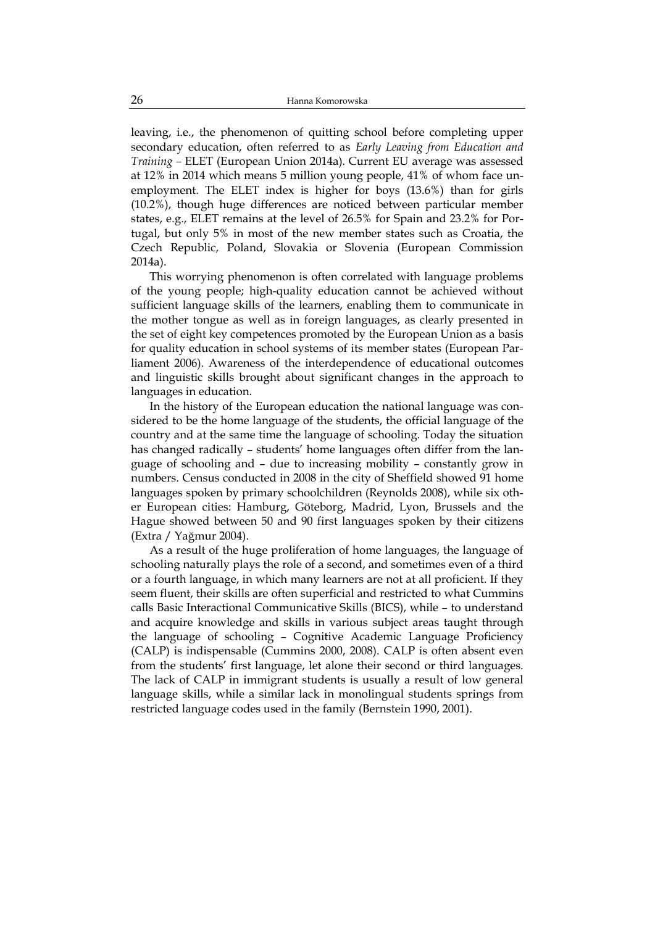leaving, i.e., the phenomenon of quitting school before completing upper secondary education, often referred to as *Early Leaving from Education and Training –* ELET (European Union 2014a)*.* Current EU average was assessed at 12% in 2014 which means 5 million young people, 41% of whom face unemployment. The ELET index is higher for boys (13.6%) than for girls (10.2%), though huge differences are noticed between particular member states, e.g., ELET remains at the level of 26.5% for Spain and 23.2% for Portugal, but only 5% in most of the new member states such as Croatia, the Czech Republic, Poland, Slovakia or Slovenia (European Commission 2014a).

This worrying phenomenon is often correlated with language problems of the young people; high-quality education cannot be achieved without sufficient language skills of the learners, enabling them to communicate in the mother tongue as well as in foreign languages, as clearly presented in the set of eight key competences promoted by the European Union as a basis for quality education in school systems of its member states (European Parliament 2006). Awareness of the interdependence of educational outcomes and linguistic skills brought about significant changes in the approach to languages in education.

In the history of the European education the national language was considered to be the home language of the students, the official language of the country and at the same time the language of schooling. Today the situation has changed radically – students' home languages often differ from the language of schooling and – due to increasing mobility – constantly grow in numbers. Census conducted in 2008 in the city of Sheffield showed 91 home languages spoken by primary schoolchildren (Reynolds 2008), while six other European cities: Hamburg, Göteborg, Madrid, Lyon, Brussels and the Hague showed between 50 and 90 first languages spoken by their citizens (Extra / Yağmur 2004).

As a result of the huge proliferation of home languages, the language of schooling naturally plays the role of a second, and sometimes even of a third or a fourth language, in which many learners are not at all proficient. If they seem fluent, their skills are often superficial and restricted to what Cummins calls Basic Interactional Communicative Skills (BICS), while – to understand and acquire knowledge and skills in various subject areas taught through the language of schooling – Cognitive Academic Language Proficiency (CALP) is indispensable (Cummins 2000, 2008). CALP is often absent even from the students' first language, let alone their second or third languages. The lack of CALP in immigrant students is usually a result of low general language skills, while a similar lack in monolingual students springs from restricted language codes used in the family (Bernstein 1990, 2001).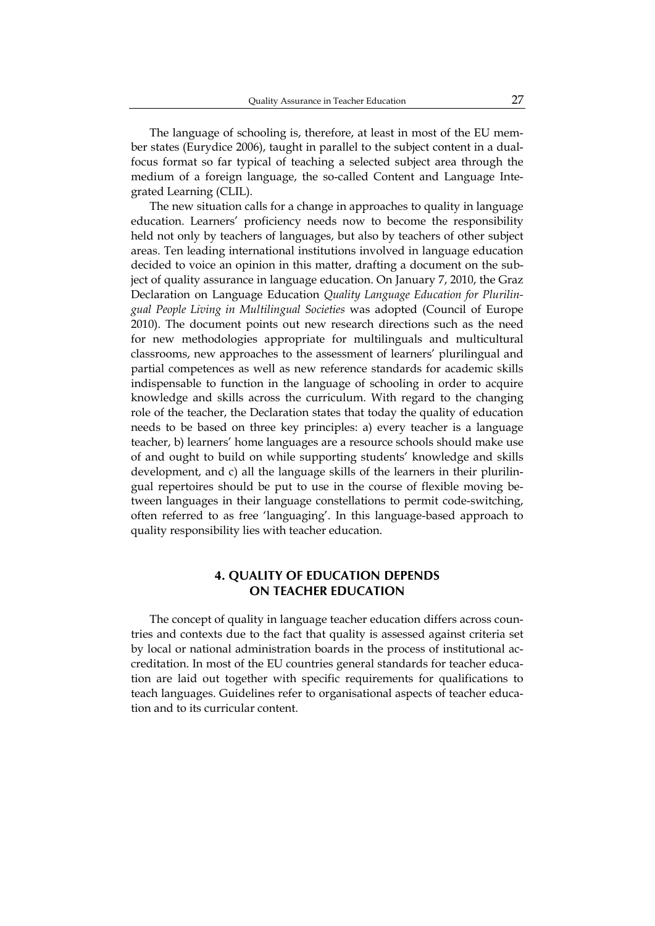The language of schooling is, therefore, at least in most of the EU member states (Eurydice 2006), taught in parallel to the subject content in a dualfocus format so far typical of teaching a selected subject area through the medium of a foreign language, the so-called Content and Language Integrated Learning (CLIL).

The new situation calls for a change in approaches to quality in language education. Learners' proficiency needs now to become the responsibility held not only by teachers of languages, but also by teachers of other subject areas. Ten leading international institutions involved in language education decided to voice an opinion in this matter, drafting a document on the subject of quality assurance in language education. On January 7, 2010, the Graz Declaration on Language Education *Quality Language Education for Plurilingual People Living in Multilingual Societies* was adopted (Council of Europe 2010). The document points out new research directions such as the need for new methodologies appropriate for multilinguals and multicultural classrooms, new approaches to the assessment of learners' plurilingual and partial competences as well as new reference standards for academic skills indispensable to function in the language of schooling in order to acquire knowledge and skills across the curriculum. With regard to the changing role of the teacher, the Declaration states that today the quality of education needs to be based on three key principles: a) every teacher is a language teacher, b) learners' home languages are a resource schools should make use of and ought to build on while supporting students' knowledge and skills development, and c) all the language skills of the learners in their plurilingual repertoires should be put to use in the course of flexible moving between languages in their language constellations to permit code-switching, often referred to as free 'languaging'. In this language-based approach to quality responsibility lies with teacher education.

#### **4. QUALITY OF EDUCATION DEPENDS ON TEACHER EDUCATION**

The concept of quality in language teacher education differs across countries and contexts due to the fact that quality is assessed against criteria set by local or national administration boards in the process of institutional accreditation. In most of the EU countries general standards for teacher education are laid out together with specific requirements for qualifications to teach languages. Guidelines refer to organisational aspects of teacher education and to its curricular content.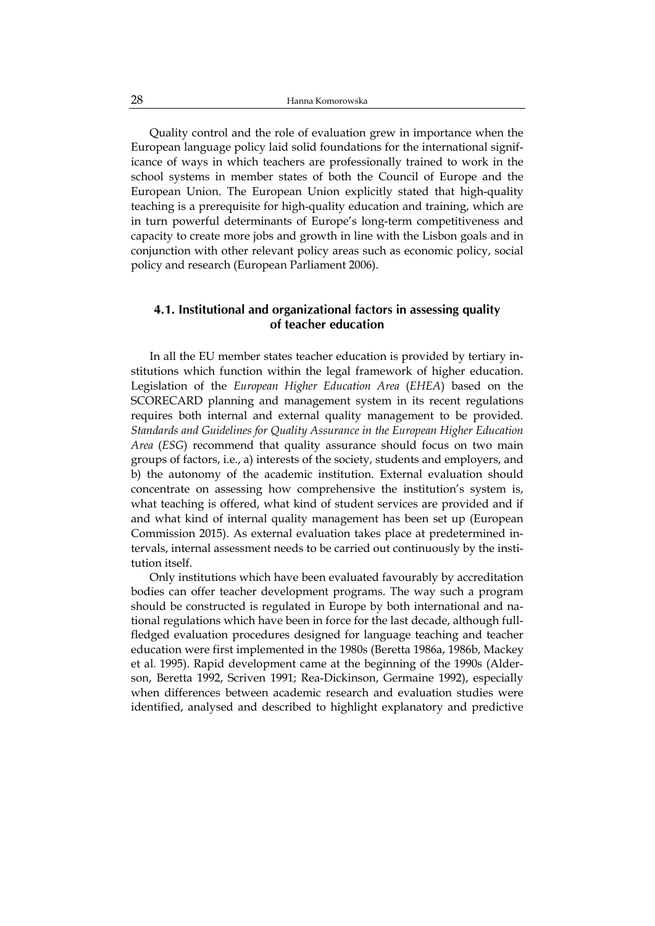Quality control and the role of evaluation grew in importance when the European language policy laid solid foundations for the international significance of ways in which teachers are professionally trained to work in the school systems in member states of both the Council of Europe and the European Union. The European Union explicitly stated that high-quality teaching is a prerequisite for high-quality education and training, which are in turn powerful determinants of Europe's long-term competitiveness and capacity to create more jobs and growth in line with the Lisbon goals and in conjunction with other relevant policy areas such as economic policy, social policy and research (European Parliament 2006).

#### **4.1. Institutional and organizational factors in assessing quality of teacher education**

In all the EU member states teacher education is provided by tertiary institutions which function within the legal framework of higher education. Legislation of the *European Higher Education Area* (*EHEA*) based on the SCORECARD planning and management system in its recent regulations requires both internal and external quality management to be provided. *Standards and Guidelines for Quality Assurance in the European Higher Education Area* (*ESG*) recommend that quality assurance should focus on two main groups of factors, i.e., a) interests of the society, students and employers, and b) the autonomy of the academic institution. External evaluation should concentrate on assessing how comprehensive the institution's system is, what teaching is offered, what kind of student services are provided and if and what kind of internal quality management has been set up (European Commission 2015). As external evaluation takes place at predetermined intervals, internal assessment needs to be carried out continuously by the institution itself.

Only institutions which have been evaluated favourably by accreditation bodies can offer teacher development programs. The way such a program should be constructed is regulated in Europe by both international and national regulations which have been in force for the last decade, although fullfledged evaluation procedures designed for language teaching and teacher education were first implemented in the 1980s (Beretta 1986a, 1986b, Mackey et al*.* 1995). Rapid development came at the beginning of the 1990s (Alderson, Beretta 1992, Scriven 1991; Rea-Dickinson, Germaine 1992), especially when differences between academic research and evaluation studies were identified, analysed and described to highlight explanatory and predictive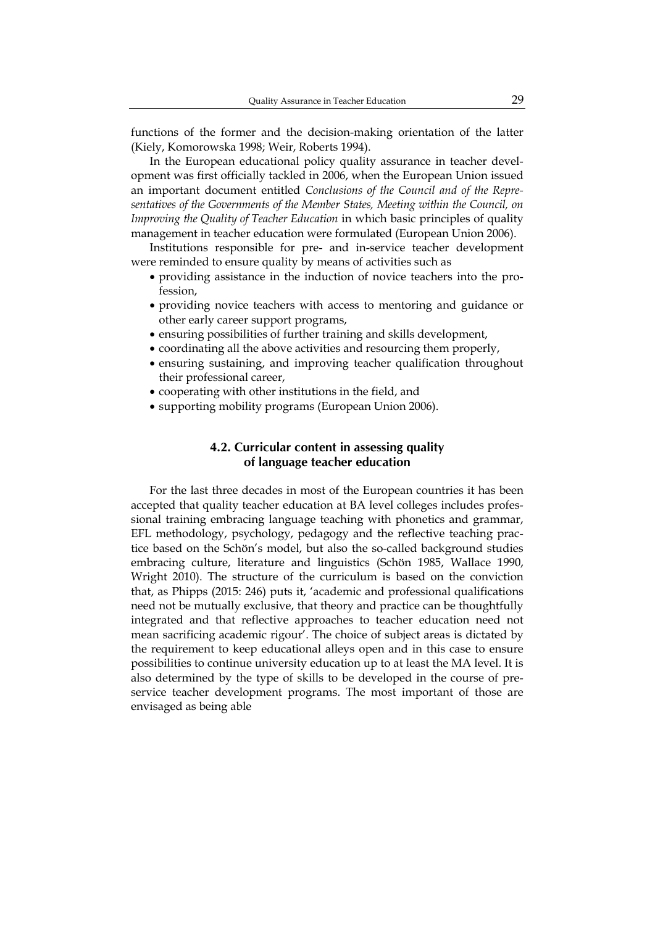functions of the former and the decision-making orientation of the latter (Kiely, Komorowska 1998; Weir, Roberts 1994).

In the European educational policy quality assurance in teacher development was first officially tackled in 2006, when the European Union issued an important document entitled *Conclusions of the Council and of the Representatives of the Governments of the Member States, Meeting within the Council, on Improving the Quality of Teacher Education* in which basic principles of quality management in teacher education were formulated (European Union 2006).

Institutions responsible for pre- and in-service teacher development were reminded to ensure quality by means of activities such as

- providing assistance in the induction of novice teachers into the profession,
- providing novice teachers with access to mentoring and guidance or other early career support programs,
- ensuring possibilities of further training and skills development,
- coordinating all the above activities and resourcing them properly,
- ensuring sustaining, and improving teacher qualification throughout their professional career,
- cooperating with other institutions in the field, and
- supporting mobility programs (European Union 2006).

#### **4.2. Curricular content in assessing quality of language teacher education**

For the last three decades in most of the European countries it has been accepted that quality teacher education at BA level colleges includes professional training embracing language teaching with phonetics and grammar, EFL methodology, psychology, pedagogy and the reflective teaching practice based on the Schön's model, but also the so-called background studies embracing culture, literature and linguistics (Schön 1985, Wallace 1990, Wright 2010). The structure of the curriculum is based on the conviction that, as Phipps (2015: 246) puts it, 'academic and professional qualifications need not be mutually exclusive, that theory and practice can be thoughtfully integrated and that reflective approaches to teacher education need not mean sacrificing academic rigour'. The choice of subject areas is dictated by the requirement to keep educational alleys open and in this case to ensure possibilities to continue university education up to at least the MA level. It is also determined by the type of skills to be developed in the course of preservice teacher development programs. The most important of those are envisaged as being able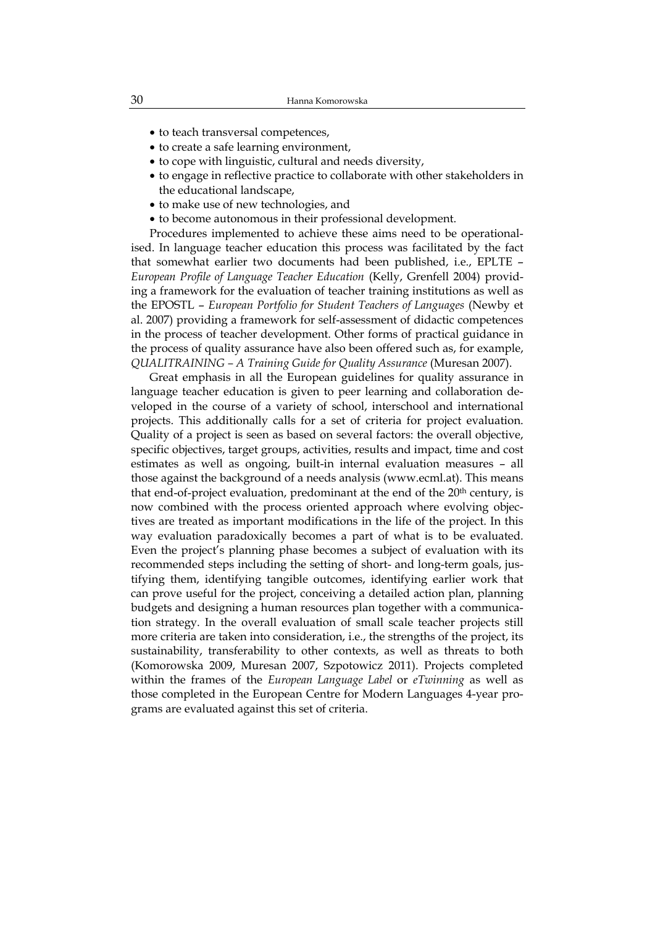- to teach transversal competences,
- to create a safe learning environment,
- to cope with linguistic, cultural and needs diversity,
- to engage in reflective practice to collaborate with other stakeholders in the educational landscape,
- to make use of new technologies, and
- to become autonomous in their professional development.

Procedures implemented to achieve these aims need to be operationalised. In language teacher education this process was facilitated by the fact that somewhat earlier two documents had been published, i.e., EPLTE – *European Profile of Language Teacher Education* (Kelly, Grenfell 2004) providing a framework for the evaluation of teacher training institutions as well as the EPOSTL – *European Portfolio for Student Teachers of Languages* (Newby et al. 2007) providing a framework for self-assessment of didactic competences in the process of teacher development. Other forms of practical guidance in the process of quality assurance have also been offered such as, for example, *QUALITRAINING – A Training Guide for Quality Assurance* (Muresan 2007).

Great emphasis in all the European guidelines for quality assurance in language teacher education is given to peer learning and collaboration developed in the course of a variety of school, interschool and international projects. This additionally calls for a set of criteria for project evaluation. Quality of a project is seen as based on several factors: the overall objective, specific objectives, target groups, activities, results and impact, time and cost estimates as well as ongoing, built-in internal evaluation measures – all those against the background of a needs analysis (www.ecml.at). This means that end-of-project evaluation, predominant at the end of the 20<sup>th</sup> century, is now combined with the process oriented approach where evolving objectives are treated as important modifications in the life of the project. In this way evaluation paradoxically becomes a part of what is to be evaluated. Even the project's planning phase becomes a subject of evaluation with its recommended steps including the setting of short- and long-term goals, justifying them, identifying tangible outcomes, identifying earlier work that can prove useful for the project, conceiving a detailed action plan, planning budgets and designing a human resources plan together with a communication strategy. In the overall evaluation of small scale teacher projects still more criteria are taken into consideration, i.e., the strengths of the project, its sustainability, transferability to other contexts, as well as threats to both (Komorowska 2009, Muresan 2007, Szpotowicz 2011). Projects completed within the frames of the *European Language Label* or *eTwinning* as well as those completed in the European Centre for Modern Languages 4-year programs are evaluated against this set of criteria.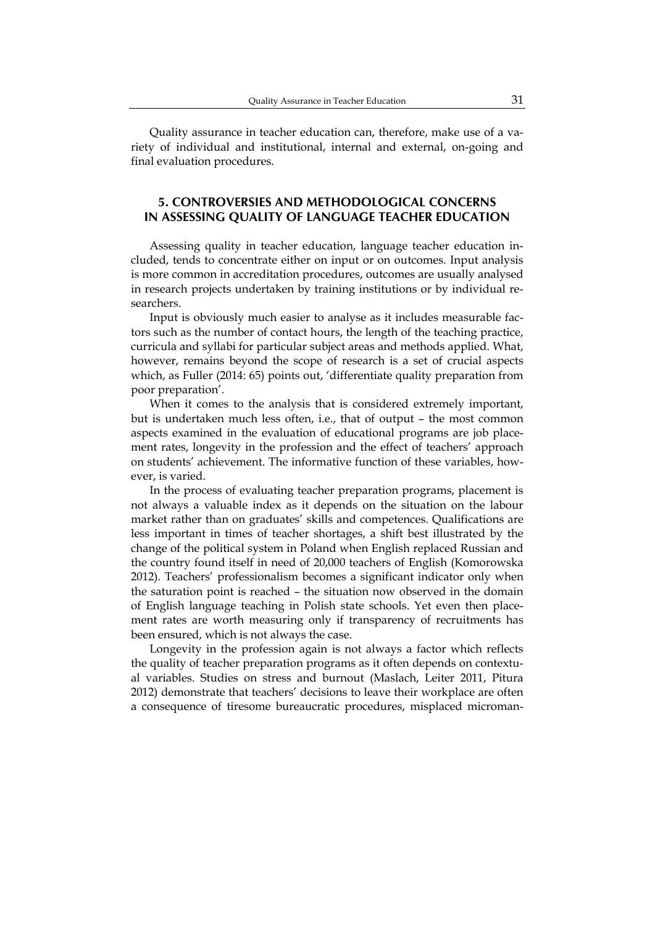Quality assurance in teacher education can, therefore, make use of a variety of individual and institutional, internal and external, on-going and final evaluation procedures.

### **5. CONTROVERSIES AND METHODOLOGICAL CONCERNS IN ASSESSING QUALITY OF LANGUAGE TEACHER EDUCATION**

Assessing quality in teacher education, language teacher education included, tends to concentrate either on input or on outcomes. Input analysis is more common in accreditation procedures, outcomes are usually analysed in research projects undertaken by training institutions or by individual researchers.

Input is obviously much easier to analyse as it includes measurable factors such as the number of contact hours, the length of the teaching practice, curricula and syllabi for particular subject areas and methods applied. What, however, remains beyond the scope of research is a set of crucial aspects which, as Fuller (2014: 65) points out, 'differentiate quality preparation from poor preparation'.

When it comes to the analysis that is considered extremely important, but is undertaken much less often, i.e., that of output – the most common aspects examined in the evaluation of educational programs are job placement rates, longevity in the profession and the effect of teachers' approach on students' achievement. The informative function of these variables, however, is varied.

In the process of evaluating teacher preparation programs, placement is not always a valuable index as it depends on the situation on the labour market rather than on graduates' skills and competences. Qualifications are less important in times of teacher shortages, a shift best illustrated by the change of the political system in Poland when English replaced Russian and the country found itself in need of 20,000 teachers of English (Komorowska 2012). Teachers' professionalism becomes a significant indicator only when the saturation point is reached – the situation now observed in the domain of English language teaching in Polish state schools. Yet even then placement rates are worth measuring only if transparency of recruitments has been ensured, which is not always the case.

Longevity in the profession again is not always a factor which reflects the quality of teacher preparation programs as it often depends on contextual variables. Studies on stress and burnout (Maslach, Leiter 2011, Pitura 2012) demonstrate that teachers' decisions to leave their workplace are often a consequence of tiresome bureaucratic procedures, misplaced microman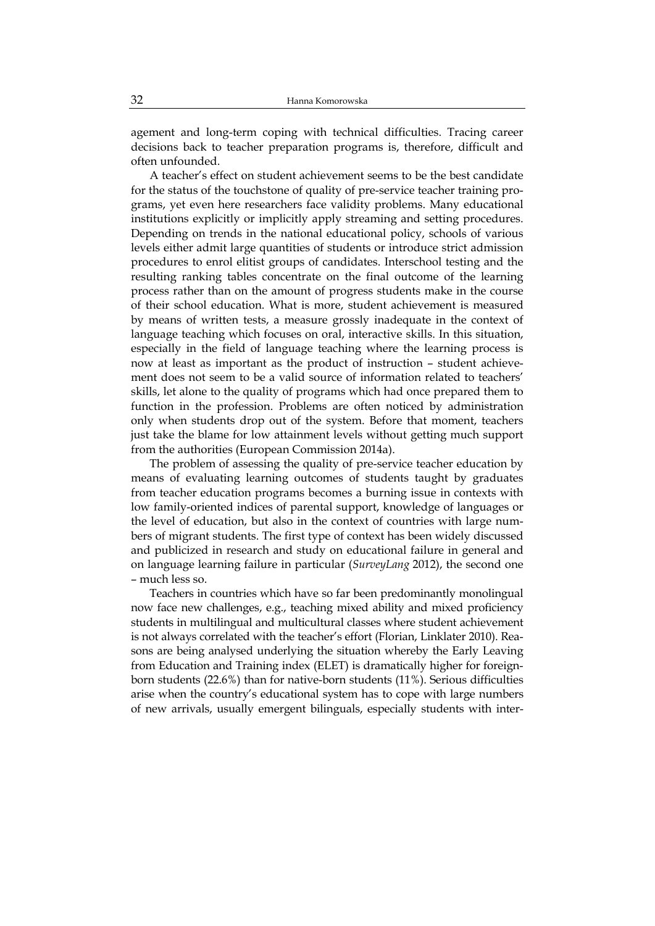agement and long-term coping with technical difficulties. Tracing career decisions back to teacher preparation programs is, therefore, difficult and often unfounded.

A teacher's effect on student achievement seems to be the best candidate for the status of the touchstone of quality of pre-service teacher training programs, yet even here researchers face validity problems. Many educational institutions explicitly or implicitly apply streaming and setting procedures. Depending on trends in the national educational policy, schools of various levels either admit large quantities of students or introduce strict admission procedures to enrol elitist groups of candidates. Interschool testing and the resulting ranking tables concentrate on the final outcome of the learning process rather than on the amount of progress students make in the course of their school education. What is more, student achievement is measured by means of written tests, a measure grossly inadequate in the context of language teaching which focuses on oral, interactive skills. In this situation, especially in the field of language teaching where the learning process is now at least as important as the product of instruction – student achievement does not seem to be a valid source of information related to teachers' skills, let alone to the quality of programs which had once prepared them to function in the profession. Problems are often noticed by administration only when students drop out of the system. Before that moment, teachers just take the blame for low attainment levels without getting much support from the authorities (European Commission 2014a).

The problem of assessing the quality of pre-service teacher education by means of evaluating learning outcomes of students taught by graduates from teacher education programs becomes a burning issue in contexts with low family-oriented indices of parental support, knowledge of languages or the level of education, but also in the context of countries with large numbers of migrant students. The first type of context has been widely discussed and publicized in research and study on educational failure in general and on language learning failure in particular (*SurveyLang* 2012), the second one – much less so.

Teachers in countries which have so far been predominantly monolingual now face new challenges, e.g., teaching mixed ability and mixed proficiency students in multilingual and multicultural classes where student achievement is not always correlated with the teacher's effort (Florian, Linklater 2010). Reasons are being analysed underlying the situation whereby the Early Leaving from Education and Training index (ELET) is dramatically higher for foreignborn students (22.6%) than for native-born students (11%). Serious difficulties arise when the country's educational system has to cope with large numbers of new arrivals, usually emergent bilinguals, especially students with inter-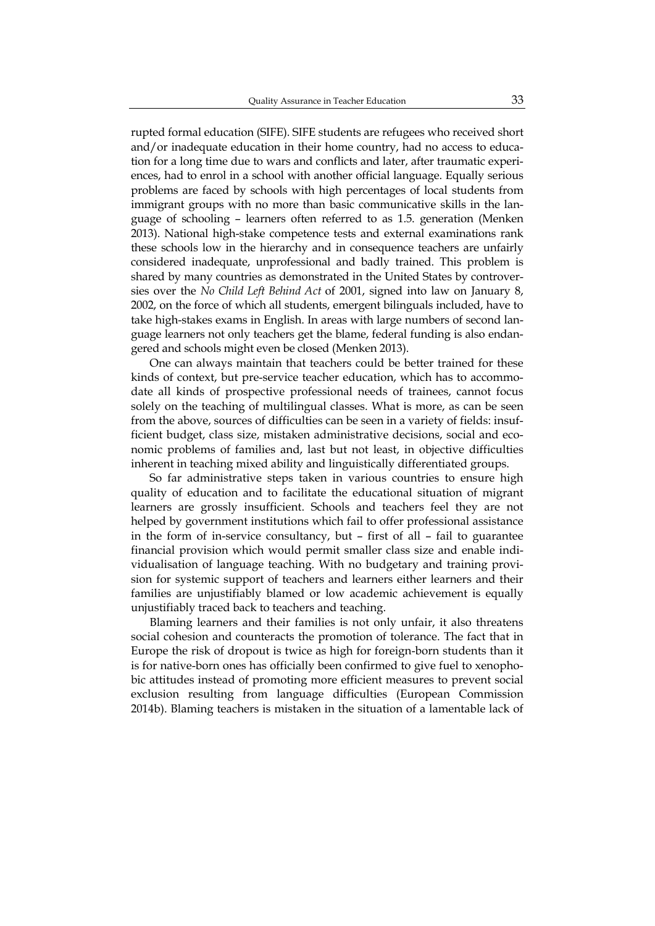rupted formal education (SIFE). SIFE students are refugees who received short and/or inadequate education in their home country, had no access to education for a long time due to wars and conflicts and later, after traumatic experiences, had to enrol in a school with another official language. Equally serious problems are faced by schools with high percentages of local students from immigrant groups with no more than basic communicative skills in the language of schooling – learners often referred to as 1.5. generation (Menken 2013). National high-stake competence tests and external examinations rank these schools low in the hierarchy and in consequence teachers are unfairly considered inadequate, unprofessional and badly trained. This problem is shared by many countries as demonstrated in the United States by controversies over the *No Child Left Behind Act* of 2001, signed into law on January 8, 2002, on the force of which all students, emergent bilinguals included, have to take high-stakes exams in English. In areas with large numbers of second language learners not only teachers get the blame, federal funding is also endangered and schools might even be closed (Menken 2013).

One can always maintain that teachers could be better trained for these kinds of context, but pre-service teacher education, which has to accommodate all kinds of prospective professional needs of trainees, cannot focus solely on the teaching of multilingual classes. What is more, as can be seen from the above, sources of difficulties can be seen in a variety of fields: insufficient budget, class size, mistaken administrative decisions, social and economic problems of families and, last but not least, in objective difficulties inherent in teaching mixed ability and linguistically differentiated groups.

So far administrative steps taken in various countries to ensure high quality of education and to facilitate the educational situation of migrant learners are grossly insufficient. Schools and teachers feel they are not helped by government institutions which fail to offer professional assistance in the form of in-service consultancy, but – first of all – fail to guarantee financial provision which would permit smaller class size and enable individualisation of language teaching. With no budgetary and training provision for systemic support of teachers and learners either learners and their families are unjustifiably blamed or low academic achievement is equally unjustifiably traced back to teachers and teaching.

Blaming learners and their families is not only unfair, it also threatens social cohesion and counteracts the promotion of tolerance. The fact that in Europe the risk of dropout is twice as high for foreign-born students than it is for native-born ones has officially been confirmed to give fuel to xenophobic attitudes instead of promoting more efficient measures to prevent social exclusion resulting from language difficulties (European Commission 2014b). Blaming teachers is mistaken in the situation of a lamentable lack of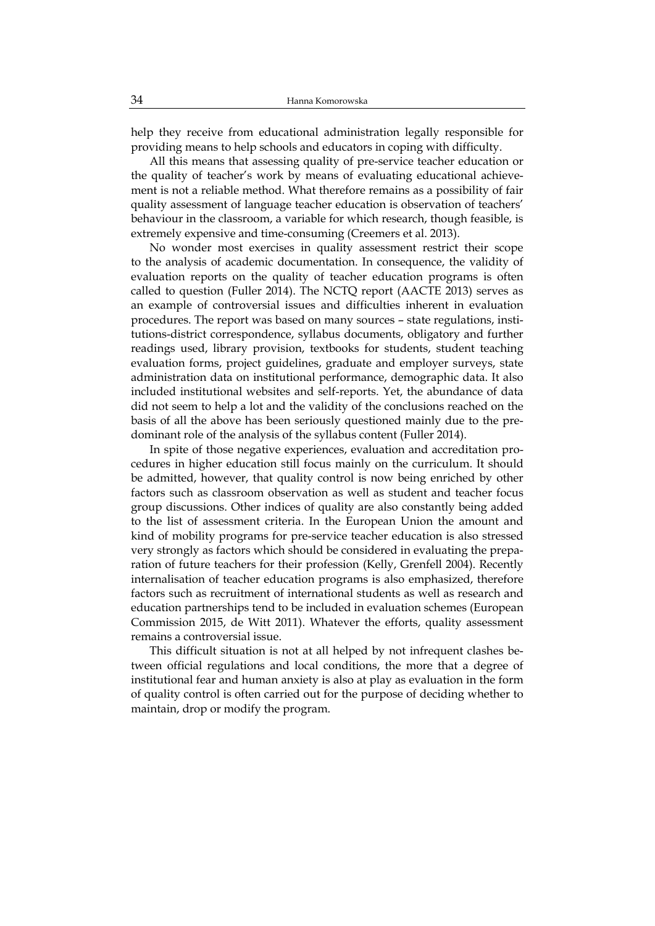help they receive from educational administration legally responsible for providing means to help schools and educators in coping with difficulty.

All this means that assessing quality of pre-service teacher education or the quality of teacher's work by means of evaluating educational achievement is not a reliable method. What therefore remains as a possibility of fair quality assessment of language teacher education is observation of teachers' behaviour in the classroom, a variable for which research, though feasible, is extremely expensive and time-consuming (Creemers et al. 2013).

No wonder most exercises in quality assessment restrict their scope to the analysis of academic documentation. In consequence, the validity of evaluation reports on the quality of teacher education programs is often called to question (Fuller 2014). The NCTQ report (AACTE 2013) serves as an example of controversial issues and difficulties inherent in evaluation procedures. The report was based on many sources – state regulations, institutions-district correspondence, syllabus documents, obligatory and further readings used, library provision, textbooks for students, student teaching evaluation forms, project guidelines, graduate and employer surveys, state administration data on institutional performance, demographic data. It also included institutional websites and self-reports. Yet, the abundance of data did not seem to help a lot and the validity of the conclusions reached on the basis of all the above has been seriously questioned mainly due to the predominant role of the analysis of the syllabus content (Fuller 2014).

In spite of those negative experiences, evaluation and accreditation procedures in higher education still focus mainly on the curriculum. It should be admitted, however, that quality control is now being enriched by other factors such as classroom observation as well as student and teacher focus group discussions. Other indices of quality are also constantly being added to the list of assessment criteria. In the European Union the amount and kind of mobility programs for pre-service teacher education is also stressed very strongly as factors which should be considered in evaluating the preparation of future teachers for their profession (Kelly, Grenfell 2004). Recently internalisation of teacher education programs is also emphasized, therefore factors such as recruitment of international students as well as research and education partnerships tend to be included in evaluation schemes (European Commission 2015, de Witt 2011). Whatever the efforts, quality assessment remains a controversial issue.

This difficult situation is not at all helped by not infrequent clashes between official regulations and local conditions, the more that a degree of institutional fear and human anxiety is also at play as evaluation in the form of quality control is often carried out for the purpose of deciding whether to maintain, drop or modify the program.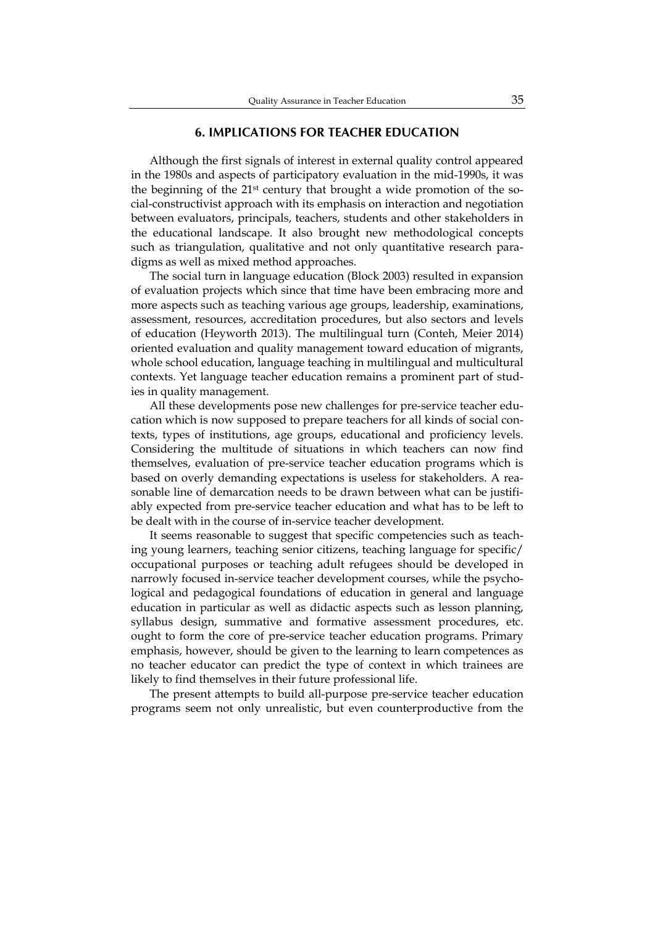#### **6. IMPLICATIONS FOR TEACHER EDUCATION**

Although the first signals of interest in external quality control appeared in the 1980s and aspects of participatory evaluation in the mid-1990s, it was the beginning of the 21st century that brought a wide promotion of the social-constructivist approach with its emphasis on interaction and negotiation between evaluators, principals, teachers, students and other stakeholders in the educational landscape. It also brought new methodological concepts such as triangulation, qualitative and not only quantitative research paradigms as well as mixed method approaches.

The social turn in language education (Block 2003) resulted in expansion of evaluation projects which since that time have been embracing more and more aspects such as teaching various age groups, leadership, examinations, assessment, resources, accreditation procedures, but also sectors and levels of education (Heyworth 2013). The multilingual turn (Conteh, Meier 2014) oriented evaluation and quality management toward education of migrants, whole school education, language teaching in multilingual and multicultural contexts. Yet language teacher education remains a prominent part of studies in quality management.

All these developments pose new challenges for pre-service teacher education which is now supposed to prepare teachers for all kinds of social contexts, types of institutions, age groups, educational and proficiency levels. Considering the multitude of situations in which teachers can now find themselves, evaluation of pre-service teacher education programs which is based on overly demanding expectations is useless for stakeholders. A reasonable line of demarcation needs to be drawn between what can be justifiably expected from pre-service teacher education and what has to be left to be dealt with in the course of in-service teacher development.

It seems reasonable to suggest that specific competencies such as teaching young learners, teaching senior citizens, teaching language for specific/ occupational purposes or teaching adult refugees should be developed in narrowly focused in-service teacher development courses, while the psychological and pedagogical foundations of education in general and language education in particular as well as didactic aspects such as lesson planning, syllabus design, summative and formative assessment procedures, etc. ought to form the core of pre-service teacher education programs. Primary emphasis, however, should be given to the learning to learn competences as no teacher educator can predict the type of context in which trainees are likely to find themselves in their future professional life.

The present attempts to build all-purpose pre-service teacher education programs seem not only unrealistic, but even counterproductive from the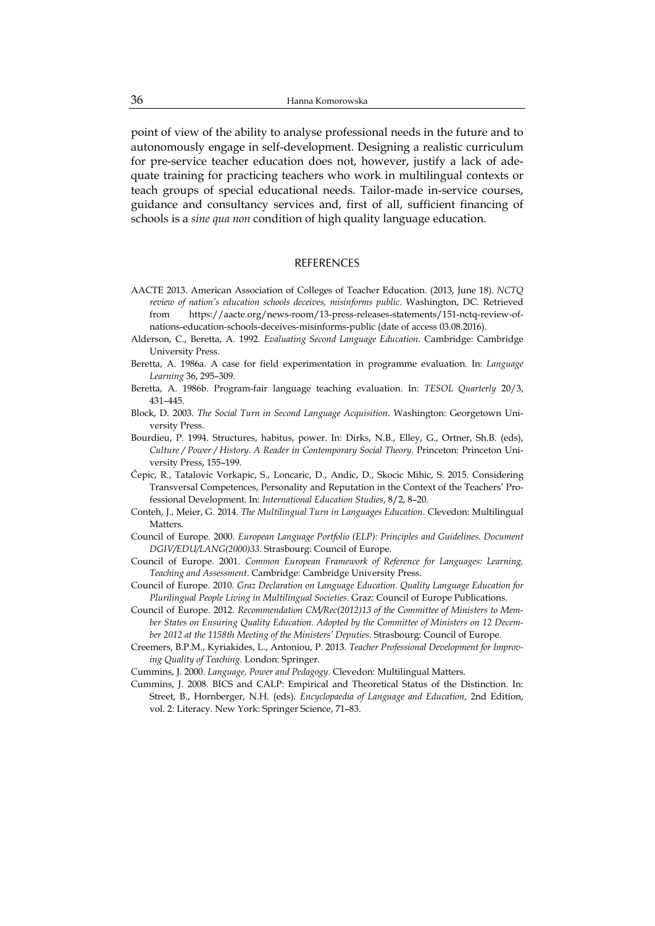point of view of the ability to analyse professional needs in the future and to autonomously engage in self-development. Designing a realistic curriculum for pre-service teacher education does not, however, justify a lack of adequate training for practicing teachers who work in multilingual contexts or teach groups of special educational needs. Tailor-made in-service courses, guidance and consultancy services and, first of all, sufficient financing of schools is a *sine qua non* condition of high quality language education.

#### REFERENCES

- AACTE 2013. American Association of Colleges of Teacher Education. (2013, June 18). *NCTQ review of nation's education schools deceives, misinforms public*. Washington, DC. Retrieved from https://aacte.org/news-room/13-press-releases-statements/151-nctq-review-ofnations-education-schools-deceives-misinforms-public (date of access 03.08.2016).
- Alderson, C., Beretta, A. 1992. *Evaluating Second Language Education*. Cambridge: Cambridge University Press.
- Beretta, A. 1986a. A case for field experimentation in programme evaluation*.* In: *Language Learning* 36, 295–309.
- Beretta, A. 1986b. Program-fair language teaching evaluation. In: *TESOL Quarterly* 20/3, 431–445.
- Block, D. 2003. *The Social Turn in Second Language Acquisition*. Washington: Georgetown University Press.
- Bourdieu, P. 1994. Structures, habitus, power. In: Dirks, N.B., Elley, G., Ortner, Sh.B. (eds), *Culture / Power / History. A Reader in Contemporary Social Theory*. Princeton: Princeton University Press, 155–199.
- Čepic, R., Tatalovic Vorkapic, S., Loncaric, D., Andic, D., Skocic Mihic, S. 2015. Considering Transversal Competences, Personality and Reputation in the Context of the Teachers' Professional Development. In: *International Education Studies*, 8/2, 8–20.
- Conteh, J., Meier, G. 2014. *The Multilingual Turn in Languages Education*. Clevedon: Multilingual Matters.
- Council of Europe. 2000. *European Language Portfolio (ELP): Principles and Guidelines. Document DGIV/EDU/LANG(2000)33*. Strasbourg: Council of Europe.
- Council of Europe. 2001. *Common European Framework of Reference for Languages: Learning, Teaching and Assessment*. Cambridge: Cambridge University Press.
- Council of Europe. 2010. *Graz Declaration on Language Education. Quality Language Education for Plurilingual People Living in Multilingual Societies*. Graz: Council of Europe Publications.
- Council of Europe. 2012. *Recommendation CM/Rec(2012)13 of the Committee of Ministers to Member States on Ensuring Quality Education. Adopted by the Committee of Ministers on 12 December 2012 at the 1158th Meeting of the Ministers' Deputies*. Strasbourg: Council of Europe.
- Creemers, B.P.M., Kyriakides, L., Antoniou, P. 2013. *Teacher Professional Development for Improving Quality of Teaching.* London: Springer.
- Cummins, J. 2000. *Language, Power and Pedagogy*. Clevedon: Multilingual Matters.
- Cummins, J. 2008. BICS and CALP: Empirical and Theoretical Status of the Distinction. In: Street, B., Hornberger, N.H. (eds). *Encyclopaedia of Language and Education*, 2nd Edition, vol. 2: Literacy. New York: Springer Science, 71–83.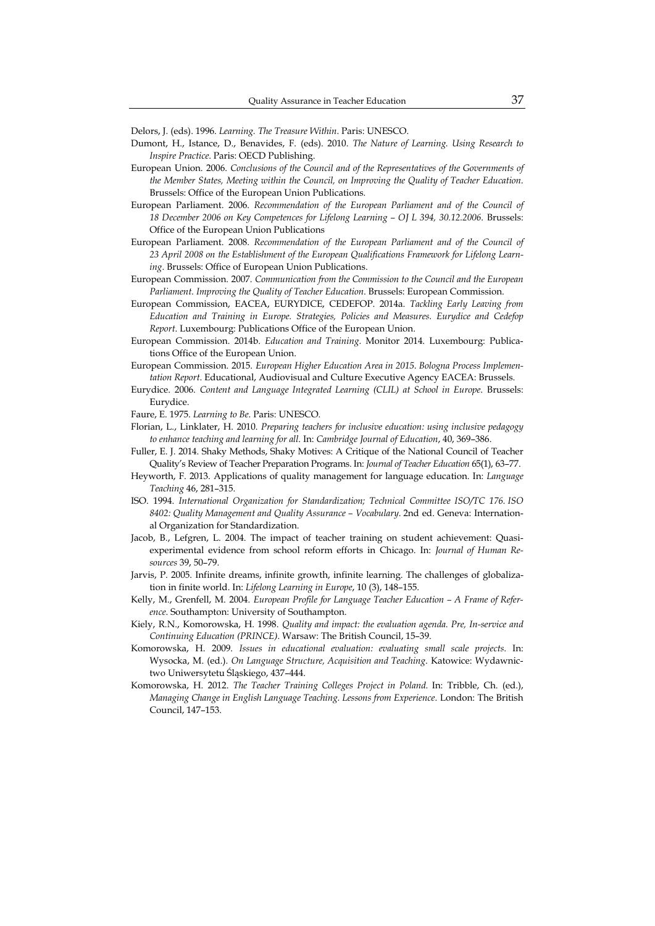Delors, J. (eds). 1996. *Learning. The Treasure Within*. Paris: UNESCO.

- Dumont, H., Istance, D., Benavides, F. (eds). 2010. *The Nature of Learning. Using Research to Inspire Practice*. Paris: OECD Publishing.
- European Union. 2006. *Conclusions of the Council and of the Representatives of the Governments of the Member States, Meeting within the Council, on Improving the Quality of Teacher Education*. Brussels: Office of the European Union Publications.
- European Parliament. 2006. *Recommendation of the European Parliament and of the Council of 18 December 2006 on Key Competences for Lifelong Learning – OJ L 394, 30.12.2006*. Brussels: Office of the European Union Publications
- European Parliament. 2008. *Recommendation of the European Parliament and of the Council of 23 April 2008 on the Establishment of the European Qualifications Framework for Lifelong Learning*. Brussels: Office of European Union Publications.
- European Commission. 2007. *Communication from the Commission to the Council and the European Parliament. Improving the Quality of Teacher Education*. Brussels: European Commission.
- European Commission, EACEA, EURYDICE, CEDEFOP. 2014a. *Tackling Early Leaving from Education and Training in Europe. Strategies, Policies and Measures. Eurydice and Cedefop Report*. Luxembourg: Publications Office of the European Union.
- European Commission. 2014b. *Education and Training*. Monitor 2014. Luxembourg: Publications Office of the European Union.
- European Commission. 2015. *European Higher Education Area in 2015. Bologna Process Implementation Report*. Educational, Audiovisual and Culture Executive Agency EACEA: Brussels.
- Eurydice. 2006. *Content and Language Integrated Learning (CLIL) at School in Europe*. Brussels: Eurydice.
- Faure, E. 1975. *Learning to Be.* Paris: UNESCO.
- Florian, L., Linklater, H. 2010. *Preparing teachers for inclusive education: using inclusive pedagogy to enhance teaching and learning for all*. In: *Cambridge Journal of Education*, 40, 369–386.
- Fuller, E. J. 2014. Shaky Methods, Shaky Motives: A Critique of the National Council of Teacher Quality's Review of Teacher Preparation Programs. In: *Journal of Teacher Education* 65(1), 63–77.
- Heyworth, F. 2013. Applications of quality management for language education. In: *Language Teaching* 46, 281–315.
- ISO. 1994. *International Organization for Standardization; Technical Committee ISO/TC 176. ISO 8402: Quality Management and Quality Assurance – Vocabulary*. 2nd ed. Geneva: International Organization for Standardization.
- Jacob, B., Lefgren, L. 2004. The impact of teacher training on student achievement: Quasiexperimental evidence from school reform efforts in Chicago. In: *Journal of Human Resources* 39, 50–79.
- Jarvis, P. 2005. Infinite dreams, infinite growth, infinite learning. The challenges of globalization in finite world. In: *Lifelong Learning in Europe*, 10 (3), 148–155.
- Kelly, M., Grenfell, M. 2004. *European Profile for Language Teacher Education A Frame of Reference*. Southampton: University of Southampton.
- Kiely, R.N., Komorowska, H. 1998. *Quality and impact: the evaluation agenda. Pre, In-service and Continuing Education (PRINCE)*. Warsaw: The British Council, 15–39.
- Komorowska, H. 2009. *Issues in educational evaluation: evaluating small scale projects.* In: Wysocka, M. (ed.). *On Language Structure, Acquisition and Teaching*. Katowice: Wydawnictwo Uniwersytetu Śląskiego, 437–444.
- Komorowska, H. 2012. *The Teacher Training Colleges Project in Poland.* In: Tribble, Ch. (ed.), *Managing Change in English Language Teaching. Lessons from Experience*. London: The British Council, 147–153.